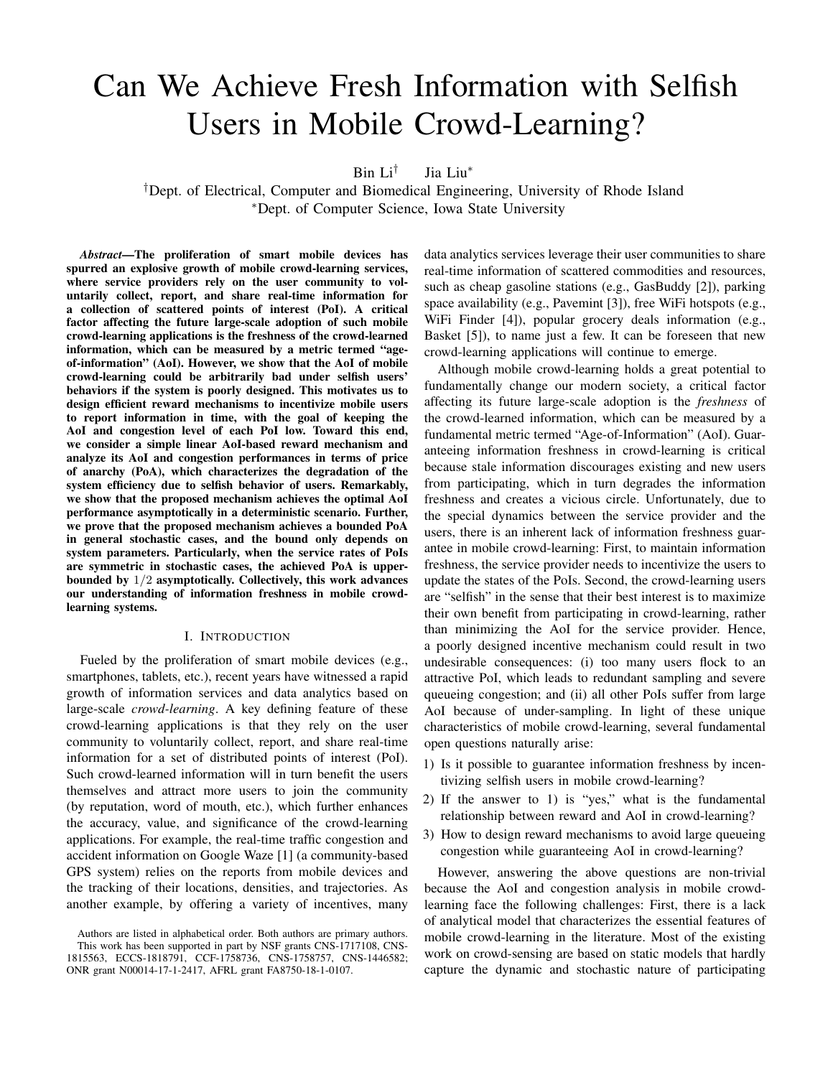# Can We Achieve Fresh Information with Selfish Users in Mobile Crowd-Learning?

Bin  $Li^{\dagger}$ Jia Liu<sup>∗</sup>

†Dept. of Electrical, Computer and Biomedical Engineering, University of Rhode Island <sup>∗</sup>Dept. of Computer Science, Iowa State University

*Abstract*—The proliferation of smart mobile devices has spurred an explosive growth of mobile crowd-learning services, where service providers rely on the user community to voluntarily collect, report, and share real-time information for a collection of scattered points of interest (PoI). A critical factor affecting the future large-scale adoption of such mobile crowd-learning applications is the freshness of the crowd-learned information, which can be measured by a metric termed "ageof-information" (AoI). However, we show that the AoI of mobile crowd-learning could be arbitrarily bad under selfish users' behaviors if the system is poorly designed. This motivates us to design efficient reward mechanisms to incentivize mobile users to report information in time, with the goal of keeping the AoI and congestion level of each PoI low. Toward this end, we consider a simple linear AoI-based reward mechanism and analyze its AoI and congestion performances in terms of price of anarchy (PoA), which characterizes the degradation of the system efficiency due to selfish behavior of users. Remarkably, we show that the proposed mechanism achieves the optimal AoI performance asymptotically in a deterministic scenario. Further, we prove that the proposed mechanism achieves a bounded PoA in general stochastic cases, and the bound only depends on system parameters. Particularly, when the service rates of PoIs are symmetric in stochastic cases, the achieved PoA is upperbounded by 1/2 asymptotically. Collectively, this work advances our understanding of information freshness in mobile crowdlearning systems.

# I. INTRODUCTION

Fueled by the proliferation of smart mobile devices (e.g., smartphones, tablets, etc.), recent years have witnessed a rapid growth of information services and data analytics based on large-scale *crowd-learning*. A key defining feature of these crowd-learning applications is that they rely on the user community to voluntarily collect, report, and share real-time information for a set of distributed points of interest (PoI). Such crowd-learned information will in turn benefit the users themselves and attract more users to join the community (by reputation, word of mouth, etc.), which further enhances the accuracy, value, and significance of the crowd-learning applications. For example, the real-time traffic congestion and accident information on Google Waze [1] (a community-based GPS system) relies on the reports from mobile devices and the tracking of their locations, densities, and trajectories. As another example, by offering a variety of incentives, many data analytics services leverage their user communities to share real-time information of scattered commodities and resources, such as cheap gasoline stations (e.g., GasBuddy [2]), parking space availability (e.g., Pavemint [3]), free WiFi hotspots (e.g., WiFi Finder [4]), popular grocery deals information (e.g., Basket [5]), to name just a few. It can be foreseen that new crowd-learning applications will continue to emerge.

Although mobile crowd-learning holds a great potential to fundamentally change our modern society, a critical factor affecting its future large-scale adoption is the *freshness* of the crowd-learned information, which can be measured by a fundamental metric termed "Age-of-Information" (AoI). Guaranteeing information freshness in crowd-learning is critical because stale information discourages existing and new users from participating, which in turn degrades the information freshness and creates a vicious circle. Unfortunately, due to the special dynamics between the service provider and the users, there is an inherent lack of information freshness guarantee in mobile crowd-learning: First, to maintain information freshness, the service provider needs to incentivize the users to update the states of the PoIs. Second, the crowd-learning users are "selfish" in the sense that their best interest is to maximize their own benefit from participating in crowd-learning, rather than minimizing the AoI for the service provider. Hence, a poorly designed incentive mechanism could result in two undesirable consequences: (i) too many users flock to an attractive PoI, which leads to redundant sampling and severe queueing congestion; and (ii) all other PoIs suffer from large AoI because of under-sampling. In light of these unique characteristics of mobile crowd-learning, several fundamental open questions naturally arise:

- 1) Is it possible to guarantee information freshness by incentivizing selfish users in mobile crowd-learning?
- 2) If the answer to 1) is "yes," what is the fundamental relationship between reward and AoI in crowd-learning?
- 3) How to design reward mechanisms to avoid large queueing congestion while guaranteeing AoI in crowd-learning?

However, answering the above questions are non-trivial because the AoI and congestion analysis in mobile crowdlearning face the following challenges: First, there is a lack of analytical model that characterizes the essential features of mobile crowd-learning in the literature. Most of the existing work on crowd-sensing are based on static models that hardly capture the dynamic and stochastic nature of participating

Authors are listed in alphabetical order. Both authors are primary authors. This work has been supported in part by NSF grants CNS-1717108, CNS-1815563, ECCS-1818791, CCF-1758736, CNS-1758757, CNS-1446582; ONR grant N00014-17-1-2417, AFRL grant FA8750-18-1-0107.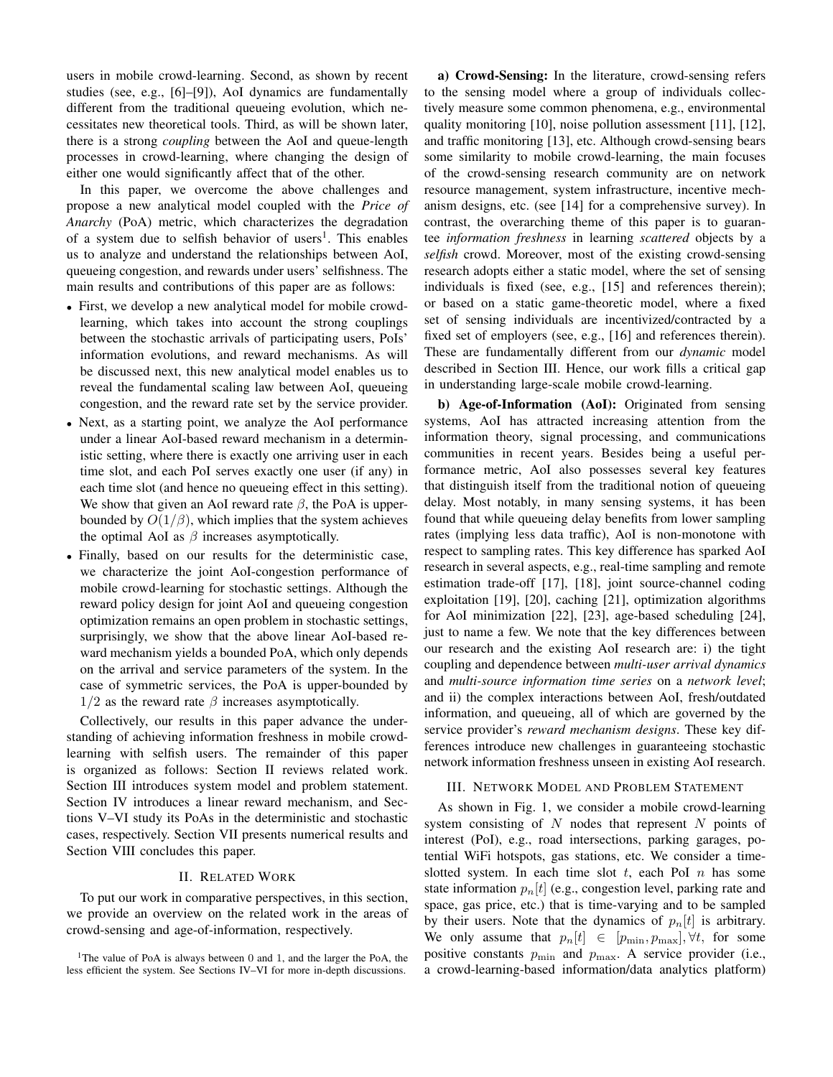users in mobile crowd-learning. Second, as shown by recent studies (see, e.g., [6]–[9]), AoI dynamics are fundamentally different from the traditional queueing evolution, which necessitates new theoretical tools. Third, as will be shown later, there is a strong *coupling* between the AoI and queue-length processes in crowd-learning, where changing the design of either one would significantly affect that of the other.

In this paper, we overcome the above challenges and propose a new analytical model coupled with the *Price of Anarchy* (PoA) metric, which characterizes the degradation of a system due to selfish behavior of users<sup>1</sup>. This enables us to analyze and understand the relationships between AoI, queueing congestion, and rewards under users' selfishness. The main results and contributions of this paper are as follows:

- First, we develop a new analytical model for mobile crowdlearning, which takes into account the strong couplings between the stochastic arrivals of participating users, PoIs' information evolutions, and reward mechanisms. As will be discussed next, this new analytical model enables us to reveal the fundamental scaling law between AoI, queueing congestion, and the reward rate set by the service provider.
- Next, as a starting point, we analyze the AoI performance under a linear AoI-based reward mechanism in a deterministic setting, where there is exactly one arriving user in each time slot, and each PoI serves exactly one user (if any) in each time slot (and hence no queueing effect in this setting). We show that given an AoI reward rate  $\beta$ , the PoA is upperbounded by  $O(1/\beta)$ , which implies that the system achieves the optimal AoI as  $\beta$  increases asymptotically.
- Finally, based on our results for the deterministic case, we characterize the joint AoI-congestion performance of mobile crowd-learning for stochastic settings. Although the reward policy design for joint AoI and queueing congestion optimization remains an open problem in stochastic settings, surprisingly, we show that the above linear AoI-based reward mechanism yields a bounded PoA, which only depends on the arrival and service parameters of the system. In the case of symmetric services, the PoA is upper-bounded by  $1/2$  as the reward rate  $\beta$  increases asymptotically.

Collectively, our results in this paper advance the understanding of achieving information freshness in mobile crowdlearning with selfish users. The remainder of this paper is organized as follows: Section II reviews related work. Section III introduces system model and problem statement. Section IV introduces a linear reward mechanism, and Sections V–VI study its PoAs in the deterministic and stochastic cases, respectively. Section VII presents numerical results and Section VIII concludes this paper.

# II. RELATED WORK

To put our work in comparative perspectives, in this section, we provide an overview on the related work in the areas of crowd-sensing and age-of-information, respectively.

a) Crowd-Sensing: In the literature, crowd-sensing refers to the sensing model where a group of individuals collectively measure some common phenomena, e.g., environmental quality monitoring [10], noise pollution assessment [11], [12], and traffic monitoring [13], etc. Although crowd-sensing bears some similarity to mobile crowd-learning, the main focuses of the crowd-sensing research community are on network resource management, system infrastructure, incentive mechanism designs, etc. (see [14] for a comprehensive survey). In contrast, the overarching theme of this paper is to guarantee *information freshness* in learning *scattered* objects by a *selfish* crowd. Moreover, most of the existing crowd-sensing research adopts either a static model, where the set of sensing individuals is fixed (see, e.g., [15] and references therein); or based on a static game-theoretic model, where a fixed set of sensing individuals are incentivized/contracted by a fixed set of employers (see, e.g., [16] and references therein). These are fundamentally different from our *dynamic* model described in Section III. Hence, our work fills a critical gap in understanding large-scale mobile crowd-learning.

b) Age-of-Information (AoI): Originated from sensing systems, AoI has attracted increasing attention from the information theory, signal processing, and communications communities in recent years. Besides being a useful performance metric, AoI also possesses several key features that distinguish itself from the traditional notion of queueing delay. Most notably, in many sensing systems, it has been found that while queueing delay benefits from lower sampling rates (implying less data traffic), AoI is non-monotone with respect to sampling rates. This key difference has sparked AoI research in several aspects, e.g., real-time sampling and remote estimation trade-off [17], [18], joint source-channel coding exploitation [19], [20], caching [21], optimization algorithms for AoI minimization [22], [23], age-based scheduling [24], just to name a few. We note that the key differences between our research and the existing AoI research are: i) the tight coupling and dependence between *multi-user arrival dynamics* and *multi-source information time series* on a *network level*; and ii) the complex interactions between AoI, fresh/outdated information, and queueing, all of which are governed by the service provider's *reward mechanism designs*. These key differences introduce new challenges in guaranteeing stochastic network information freshness unseen in existing AoI research.

# III. NETWORK MODEL AND PROBLEM STATEMENT

As shown in Fig. 1, we consider a mobile crowd-learning system consisting of  $N$  nodes that represent  $N$  points of interest (PoI), e.g., road intersections, parking garages, potential WiFi hotspots, gas stations, etc. We consider a timeslotted system. In each time slot  $t$ , each PoI  $n$  has some state information  $p_n[t]$  (e.g., congestion level, parking rate and space, gas price, etc.) that is time-varying and to be sampled by their users. Note that the dynamics of  $p_n[t]$  is arbitrary. We only assume that  $p_n[t] \in [p_{\min}, p_{\max}], \forall t$ , for some positive constants  $p_{\min}$  and  $p_{\max}$ . A service provider (i.e., a crowd-learning-based information/data analytics platform)

<sup>&</sup>lt;sup>1</sup>The value of PoA is always between 0 and 1, and the larger the PoA, the less efficient the system. See Sections IV–VI for more in-depth discussions.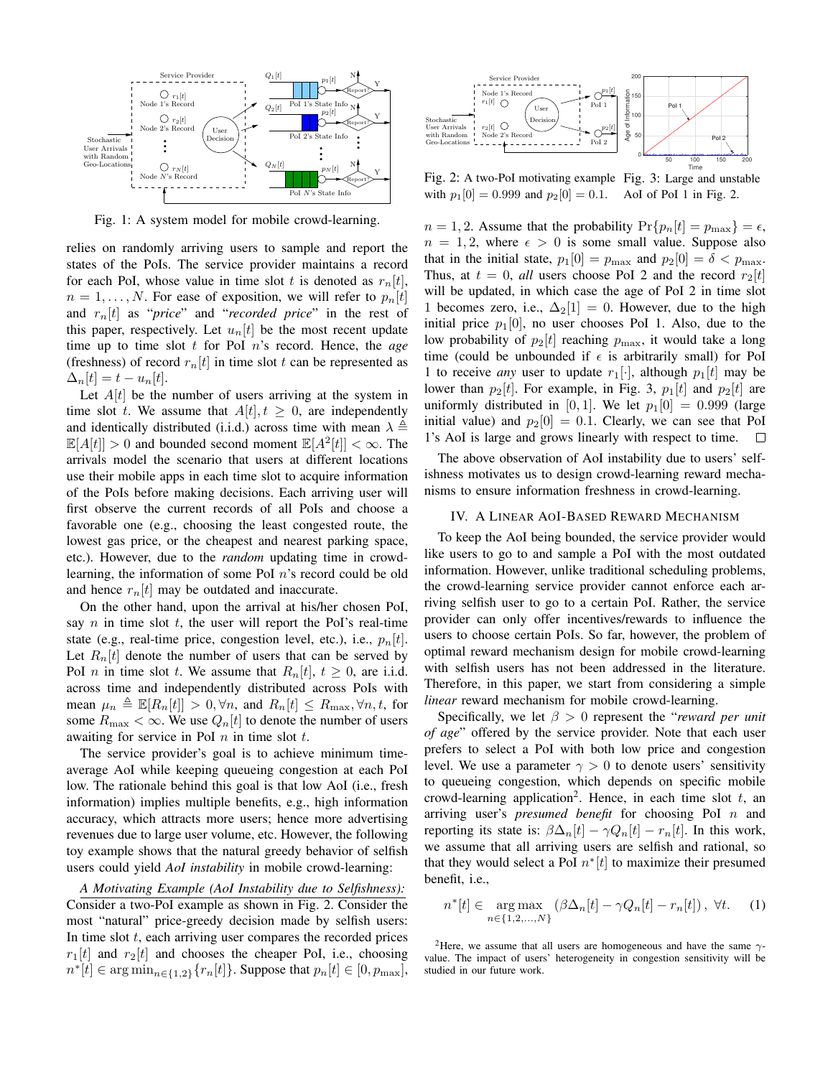

Fig. 1: A system model for mobile crowd-learning.

relies on randomly arriving users to sample and report the states of the PoIs. The service provider maintains a record for each PoI, whose value in time slot t is denoted as  $r_n[t]$ ,  $n = 1, \ldots, N$ . For ease of exposition, we will refer to  $p_n[t]$ and  $r_n[t]$  as "*price*" and "*recorded price*" in the rest of this paper, respectively. Let  $u_n[t]$  be the most recent update time up to time slot t for PoI n's record. Hence, the *age* (freshness) of record  $r_n[t]$  in time slot t can be represented as  $\Delta_n[t] = t - u_n[t].$ 

Let  $A[t]$  be the number of users arriving at the system in time slot t. We assume that  $A[t], t \geq 0$ , are independently and identically distributed (i.i.d.) across time with mean  $\lambda \triangleq$  $\mathbb{E}[A[t]] > 0$  and bounded second moment  $\mathbb{E}[A^2[t]] < \infty$ . The arrivals model the scenario that users at different locations use their mobile apps in each time slot to acquire information of the PoIs before making decisions. Each arriving user will first observe the current records of all PoIs and choose a favorable one (e.g., choosing the least congested route, the lowest gas price, or the cheapest and nearest parking space, etc.). However, due to the *random* updating time in crowdlearning, the information of some PoI n's record could be old and hence  $r_n[t]$  may be outdated and inaccurate.

On the other hand, upon the arrival at his/her chosen PoI, say  $n$  in time slot  $t$ , the user will report the PoI's real-time state (e.g., real-time price, congestion level, etc.), i.e.,  $p_n[t]$ . Let  $R_n[t]$  denote the number of users that can be served by PoI *n* in time slot *t*. We assume that  $R_n[t]$ ,  $t \geq 0$ , are i.i.d. across time and independently distributed across PoIs with mean  $\mu_n \triangleq \mathbb{E}[R_n[t]] > 0, \forall n$ , and  $R_n[t] \leq R_{\text{max}}, \forall n, t$ , for some  $R_{\text{max}} < \infty$ . We use  $Q_n[t]$  to denote the number of users awaiting for service in PoI  $n$  in time slot  $t$ .

The service provider's goal is to achieve minimum timeaverage AoI while keeping queueing congestion at each PoI low. The rationale behind this goal is that low AoI (i.e., fresh information) implies multiple benefits, e.g., high information accuracy, which attracts more users; hence more advertising revenues due to large user volume, etc. However, the following toy example shows that the natural greedy behavior of selfish users could yield *AoI instability* in mobile crowd-learning:

*A Motivating Example (AoI Instability due to Selfishness):* Consider a two-PoI example as shown in Fig. 2. Consider the most "natural" price-greedy decision made by selfish users: In time slot  $t$ , each arriving user compares the recorded prices  $r_1[t]$  and  $r_2[t]$  and chooses the cheaper PoI, i.e., choosing  $n^*[t] \in \arg \min_{n \in \{1,2\}} \{r_n[t]\}.$  Suppose that  $p_n[t] \in [0, p_{\text{max}}],$ 



Fig. 2: A two-PoI motivating example Fig. 3: Large and unstable with  $p_1[0] = 0.999$  and  $p_2[0] = 0.1$ . AoI of PoI 1 in Fig. 2.

 $n = 1, 2$ . Assume that the probability  $Pr\{p_n[t] = p_{\text{max}}\} = \epsilon$ ,  $n = 1, 2$ , where  $\epsilon > 0$  is some small value. Suppose also that in the initial state,  $p_1[0] = p_{\text{max}}$  and  $p_2[0] = \delta < p_{\text{max}}$ . Thus, at  $t = 0$ , *all* users choose PoI 2 and the record  $r_2[t]$ will be updated, in which case the age of PoI 2 in time slot 1 becomes zero, i.e.,  $\Delta_2[1] = 0$ . However, due to the high initial price  $p_1[0]$ , no user chooses PoI 1. Also, due to the low probability of  $p_2[t]$  reaching  $p_{\text{max}}$ , it would take a long time (could be unbounded if  $\epsilon$  is arbitrarily small) for PoI 1 to receive *any* user to update  $r_1[\cdot]$ , although  $p_1[t]$  may be lower than  $p_2[t]$ . For example, in Fig. 3,  $p_1[t]$  and  $p_2[t]$  are uniformly distributed in [0, 1]. We let  $p_1[0] = 0.999$  (large initial value) and  $p_2[0] = 0.1$ . Clearly, we can see that PoI 1's AoI is large and grows linearly with respect to time.  $\Box$ 

The above observation of AoI instability due to users' selfishness motivates us to design crowd-learning reward mechanisms to ensure information freshness in crowd-learning.

# IV. A LINEAR AOI-BASED REWARD MECHANISM

To keep the AoI being bounded, the service provider would like users to go to and sample a PoI with the most outdated information. However, unlike traditional scheduling problems, the crowd-learning service provider cannot enforce each arriving selfish user to go to a certain PoI. Rather, the service provider can only offer incentives/rewards to influence the users to choose certain PoIs. So far, however, the problem of optimal reward mechanism design for mobile crowd-learning with selfish users has not been addressed in the literature. Therefore, in this paper, we start from considering a simple *linear* reward mechanism for mobile crowd-learning.

Specifically, we let  $\beta > 0$  represent the "*reward per unit of age*" offered by the service provider. Note that each user prefers to select a PoI with both low price and congestion level. We use a parameter  $\gamma > 0$  to denote users' sensitivity to queueing congestion, which depends on specific mobile crowd-learning application<sup>2</sup>. Hence, in each time slot  $t$ , an arriving user's *presumed benefit* for choosing PoI n and reporting its state is:  $\beta \Delta_n[t] - \gamma Q_n[t] - r_n[t]$ . In this work, we assume that all arriving users are selfish and rational, so that they would select a PoI  $n^*[t]$  to maximize their presumed benefit, i.e.,

$$
n^*[t] \in \underset{n \in \{1, 2, \ldots, N\}}{\arg \max} \left( \beta \Delta_n[t] - \gamma Q_n[t] - r_n[t] \right), \ \forall t. \tag{1}
$$

<sup>2</sup>Here, we assume that all users are homogeneous and have the same  $\gamma$ value. The impact of users' heterogeneity in congestion sensitivity will be studied in our future work.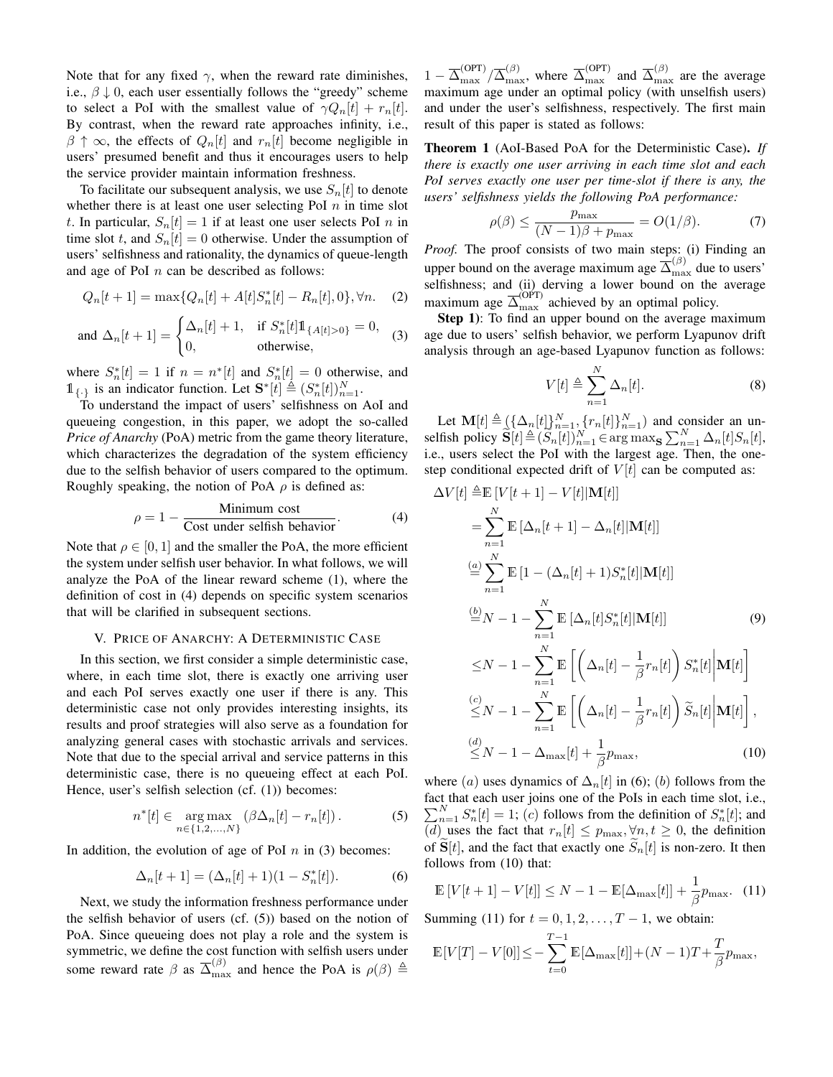Note that for any fixed  $\gamma$ , when the reward rate diminishes, i.e.,  $\beta \downarrow 0$ , each user essentially follows the "greedy" scheme to select a PoI with the smallest value of  $\gamma Q_n[t] + r_n[t]$ . By contrast, when the reward rate approaches infinity, i.e.,  $\beta \uparrow \infty$ , the effects of  $Q_n[t]$  and  $r_n[t]$  become negligible in users' presumed benefit and thus it encourages users to help the service provider maintain information freshness.

To facilitate our subsequent analysis, we use  $S_n[t]$  to denote whether there is at least one user selecting PoI  $n$  in time slot t. In particular,  $S_n[t] = 1$  if at least one user selects PoI n in time slot t, and  $S_n[t] = 0$  otherwise. Under the assumption of users' selfishness and rationality, the dynamics of queue-length and age of PoI  $n$  can be described as follows:

$$
Q_n[t+1] = \max\{Q_n[t] + A[t]S_n^*[t] - R_n[t], 0\}, \forall n. \quad (2)
$$

and 
$$
\Delta_n[t+1] = \begin{cases} \Delta_n[t] + 1, & \text{if } S_n^*[t] \mathbb{1}_{\{A[t] > 0\}} = 0, \\ 0, & \text{otherwise,} \end{cases}
$$
 (3)

where  $S_n^*[t] = 1$  if  $n = n^*[t]$  and  $S_n^*[t] = 0$  otherwise, and  $\mathbb{1}_{\{\cdot\}}$  is an indicator function. Let  $\mathbf{S}^*[\tilde{t}] \triangleq (S_n^*[t])_{n=1}^N$ .

To understand the impact of users' selfishness on AoI and queueing congestion, in this paper, we adopt the so-called *Price of Anarchy* (PoA) metric from the game theory literature, which characterizes the degradation of the system efficiency due to the selfish behavior of users compared to the optimum. Roughly speaking, the notion of PoA  $\rho$  is defined as:

$$
\rho = 1 - \frac{\text{Minimum cost}}{\text{Cost under selfish behavior}}.\tag{4}
$$

Note that  $\rho \in [0, 1]$  and the smaller the PoA, the more efficient the system under selfish user behavior. In what follows, we will analyze the PoA of the linear reward scheme (1), where the definition of cost in (4) depends on specific system scenarios that will be clarified in subsequent sections.

#### V. PRICE OF ANARCHY: A DETERMINISTIC CASE

In this section, we first consider a simple deterministic case, where, in each time slot, there is exactly one arriving user and each PoI serves exactly one user if there is any. This deterministic case not only provides interesting insights, its results and proof strategies will also serve as a foundation for analyzing general cases with stochastic arrivals and services. Note that due to the special arrival and service patterns in this deterministic case, there is no queueing effect at each PoI. Hence, user's selfish selection (cf. (1)) becomes:

$$
n^*[t] \in \underset{n \in \{1, 2, \ldots, N\}}{\arg \max} (\beta \Delta_n[t] - r_n[t]). \tag{5}
$$

In addition, the evolution of age of PoI  $n$  in (3) becomes:

$$
\Delta_n[t+1] = (\Delta_n[t]+1)(1 - S_n^*[t]).
$$
 (6)

Next, we study the information freshness performance under the selfish behavior of users (cf. (5)) based on the notion of PoA. Since queueing does not play a role and the system is symmetric, we define the cost function with selfish users under some reward rate  $\beta$  as  $\overline{\Delta}_{\max}^{(\beta)}$  and hence the PoA is  $\rho(\beta) \triangleq$ 

 $1 - \overline{\Delta}_{\text{max}}^{(\text{OPT})}/\overline{\Delta}_{\text{max}}^{(\beta)}$ , where  $\overline{\Delta}_{\text{max}}^{(\text{OPT})}$  and  $\overline{\Delta}_{\text{max}}^{(\beta)}$  are the average maximum age under an optimal policy (with unselfish users) and under the user's selfishness, respectively. The first main result of this paper is stated as follows:

Theorem 1 (AoI-Based PoA for the Deterministic Case). *If there is exactly one user arriving in each time slot and each PoI serves exactly one user per time-slot if there is any, the users' selfishness yields the following PoA performance:*

$$
\rho(\beta) \le \frac{p_{\text{max}}}{(N-1)\beta + p_{\text{max}}} = O(1/\beta). \tag{7}
$$

*Proof.* The proof consists of two main steps: (i) Finding an upper bound on the average maximum age  $\overline{\Delta}_{\text{max}}^{(\beta)}$  due to users' selfishness; and (ii) derving a lower bound on the average maximum age  $\overline{\Delta}_{\max}^{(\text{OPT})}$  achieved by an optimal policy.

Step 1): To find an upper bound on the average maximum age due to users' selfish behavior, we perform Lyapunov drift analysis through an age-based Lyapunov function as follows:

$$
V[t] \triangleq \sum_{n=1}^{N} \Delta_n[t]. \tag{8}
$$

Let  $\mathbf{M}[t] \triangleq \left( {\{\Delta_n[t]\}}_{n=1}^N, {\{r_n[t]\}}_{n=1}^N \right)$  and consider an unselfish policy  $\widetilde{\mathbf{S}}[t] \triangleq (\widetilde{S}_n[t])_{n=1}^N \in \arg \max_{\mathbf{S}} \sum_{n=1}^N \Delta_n[t] S_n[t],$ i.e., users select the PoI with the largest age. Then, the onestep conditional expected drift of  $V[t]$  can be computed as:

$$
\Delta V[t] \triangleq \mathbb{E}[V[t+1] - V[t]|\mathbf{M}[t]]
$$
  
\n
$$
= \sum_{n=1}^{N} \mathbb{E}[\Delta_n[t+1] - \Delta_n[t]|\mathbf{M}[t]]
$$
  
\n
$$
\stackrel{(a)}{=} \sum_{n=1}^{N} \mathbb{E}[1 - (\Delta_n[t] + 1)S_n^*[t]|\mathbf{M}[t]]
$$
  
\n
$$
\stackrel{(b)}{=} N - 1 - \sum_{n=1}^{N} \mathbb{E}[\Delta_n[t]S_n^*[t]|\mathbf{M}[t]]
$$
  
\n
$$
\leq N - 1 - \sum_{n=1}^{N} \mathbb{E}\left[\left(\Delta_n[t] - \frac{1}{\beta}r_n[t]\right)S_n^*[t]|\mathbf{M}[t]\right]
$$
  
\n
$$
\stackrel{(c)}{\leq} N - 1 - \sum_{n=1}^{N} \mathbb{E}\left[\left(\Delta_n[t] - \frac{1}{\beta}r_n[t]\right)\widetilde{S}_n[t]|\mathbf{M}[t]\right],
$$
  
\n
$$
\stackrel{(d)}{\leq} N - 1 - \Delta_{\text{max}}[t] + \frac{1}{\beta}p_{\text{max}},
$$
 (10)

where (a) uses dynamics of  $\Delta_n[t]$  in (6); (b) follows from the fact that each user joins one of the PoIs in each time slot, i.e.,  $\sum_{n=1}^{N} S_n^*[t] = 1$ ; (c) follows from the definition of  $S_n^*[t]$ ; and  $\overline{(d)}$  uses the fact that  $r_n[t] \leq p_{\text{max}}, \forall n, t \geq 0$ , the definition of  $S[t]$ , and the fact that exactly one  $S_n[t]$  is non-zero. It then follows from (10) that:

$$
\mathbb{E}\left[V[t+1]-V[t]\right] \leq N - 1 - \mathbb{E}[\Delta_{\max}[t]] + \frac{1}{\beta}p_{\max}.\tag{11}
$$

Summing (11) for  $t = 0, 1, 2, ..., T - 1$ , we obtain:

$$
\mathbb{E}[V[T] - V[0]] \le -\sum_{t=0}^{T-1} \mathbb{E}[\Delta_{\max}[t]] + (N-1)T + \frac{T}{\beta}p_{\max},
$$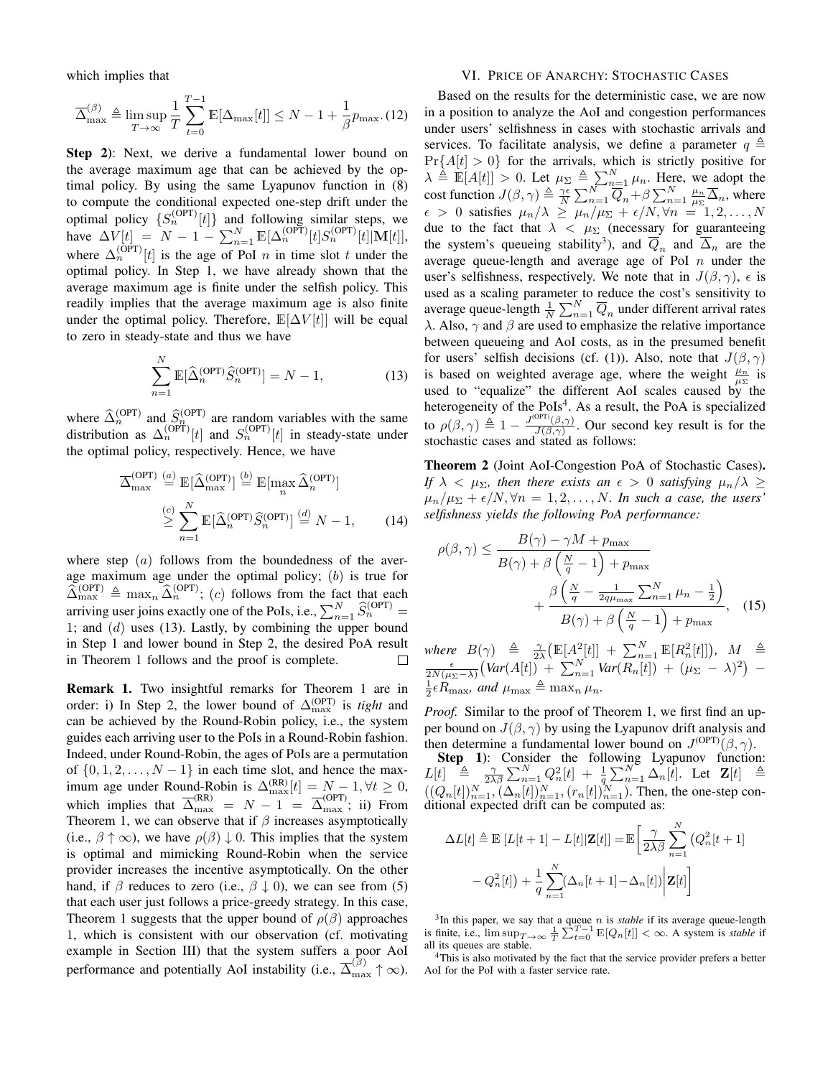which implies that

$$
\overline{\Delta}_{\max}^{(\beta)} \triangleq \limsup_{T \to \infty} \frac{1}{T} \sum_{t=0}^{T-1} \mathbb{E}[\Delta_{\max}[t]] \leq N - 1 + \frac{1}{\beta} p_{\max}. (12)
$$

Step 2): Next, we derive a fundamental lower bound on the average maximum age that can be achieved by the optimal policy. By using the same Lyapunov function in (8) to compute the conditional expected one-step drift under the optimal policy  $\{S_n^{(OPT)}[t]\}$  and following similar steps, we have  $\Delta V[t] = N - 1 - \sum_{n=1}^{N} \mathbb{E}[\Delta_n^{(\text{OPT})}[t] S_n^{(\text{OPT})}[t] | M[t] ],$ where  $\Delta_n^{(OPT)}[t]$  is the age of PoI *n* in time slot t under the optimal policy. In Step 1, we have already shown that the average maximum age is finite under the selfish policy. This readily implies that the average maximum age is also finite under the optimal policy. Therefore,  $\mathbb{E}[\Delta V[t]]$  will be equal to zero in steady-state and thus we have

$$
\sum_{n=1}^{N} \mathbb{E}[\widehat{\Delta}_n^{\text{(OPT)}} \widehat{S}_n^{\text{(OPT)}}] = N - 1,\tag{13}
$$

where  $\widehat{\Delta}_{n}^{(\text{OPT})}$  and  $\widehat{S}_{n}^{(\text{OPT})}$  are random variables with the same distribution as  $\Delta_n^{\text{(OPT)}}[t]$  and  $S_n^{\text{(OPT)}}[t]$  in steady-state under the optimal policy, respectively. Hence, we have

$$
\overline{\Delta}_{\max}^{\text{(OPT)}} \stackrel{(a)}{=} \mathbb{E}[\widehat{\Delta}_{\max}^{\text{(OPT)}}] \stackrel{(b)}{=} \mathbb{E}[\max_{n} \widehat{\Delta}_{n}^{\text{(OPT)}}] \n\geq \sum_{n=1}^{N} \mathbb{E}[\widehat{\Delta}_{n}^{\text{(OPT)}} \widehat{S}_{n}^{\text{(OPT)}}] \stackrel{(d)}{=} N - 1,
$$
\n(14)

where step  $(a)$  follows from the boundedness of the average maximum age under the optimal policy;  $(b)$  is true for  $\widehat{\Delta}_{\max}^{\text{(OPT)}} \triangleq \max_n \widehat{\Delta}_n^{\text{(OPT)}}$ ; (c) follows from the fact that each arriving user joins exactly one of the PoIs, i.e.,  $\sum_{n=1}^{N} \widehat{S}_{n}^{(\text{OPT})} =$ 1; and  $(d)$  uses (13). Lastly, by combining the upper bound in Step 1 and lower bound in Step 2, the desired PoA result in Theorem 1 follows and the proof is complete.  $\Box$ 

Remark 1. Two insightful remarks for Theorem 1 are in order: i) In Step 2, the lower bound of  $\Delta_{\text{max}}^{\text{(OPT)}}$  is *tight* and can be achieved by the Round-Robin policy, i.e., the system guides each arriving user to the PoIs in a Round-Robin fashion. Indeed, under Round-Robin, the ages of PoIs are a permutation of  $\{0, 1, 2, \ldots, N-1\}$  in each time slot, and hence the maximum age under Round-Robin is  $\Delta_{\max}^{(RR)}[t] = N - 1, \forall t \geq 0$ , which implies that  $\overline{\Delta}_{\text{max}}^{(\text{RR})} = N - 1 = \overline{\Delta}_{\text{max}}^{(\text{OPT})}$ ; ii) From Theorem 1, we can observe that if  $\beta$  increases asymptotically (i.e.,  $\beta \uparrow \infty$ ), we have  $\rho(\beta) \downarrow 0$ . This implies that the system is optimal and mimicking Round-Robin when the service provider increases the incentive asymptotically. On the other hand, if  $\beta$  reduces to zero (i.e.,  $\beta \downarrow 0$ ), we can see from (5) that each user just follows a price-greedy strategy. In this case, Theorem 1 suggests that the upper bound of  $\rho(\beta)$  approaches 1, which is consistent with our observation (cf. motivating example in Section III) that the system suffers a poor AoI performance and potentially AoI instability (i.e.,  $\overline{\Delta}_{\max}^{(\beta)} \uparrow \infty$ ).

# VI. PRICE OF ANARCHY: STOCHASTIC CASES

Based on the results for the deterministic case, we are now in a position to analyze the AoI and congestion performances under users' selfishness in cases with stochastic arrivals and services. To facilitate analysis, we define a parameter  $q \triangleq$  $Pr{A[t] > 0}$  for the arrivals, which is strictly positive for  $\lambda \triangleq \mathbb{E}[A[t]] > 0$ . Let  $\mu_{\Sigma} \triangleq \sum_{n=1}^{N} \mu_n$ . Here, we adopt the cost function  $J(\beta, \gamma) \triangleq \frac{\gamma \epsilon}{N} \sum_{n=1}^{N} \overline{Q}_n + \beta \sum_{n=1}^{N} \frac{\mu_n}{\mu_{\Sigma}} \overline{\Delta}_n$ , where  $\epsilon > 0$  satisfies  $\mu_n/\lambda \ge \mu_n/\mu_\Sigma + \epsilon/N, \forall n = 1, 2, ..., N$ due to the fact that  $\lambda < \mu_{\Sigma}$  (necessary for guaranteeing the system's queueing stability<sup>3</sup>), and  $\overline{Q}_n$  and  $\overline{\Delta}_n$  are the average queue-length and average age of PoI  $n$  under the user's selfishness, respectively. We note that in  $J(\beta, \gamma)$ ,  $\epsilon$  is used as a scaling parameter to reduce the cost's sensitivity to average queue-length  $\frac{1}{N} \sum_{n=1}^{N} \overline{Q}_n$  under different arrival rates λ. Also,  $\gamma$  and  $\beta$  are used to emphasize the relative importance between queueing and AoI costs, as in the presumed benefit for users' selfish decisions (cf. (1)). Also, note that  $J(\beta, \gamma)$ is based on weighted average age, where the weight  $\frac{\mu_n}{\mu_{\Sigma}}$  is used to "equalize" the different AoI scales caused by the heterogeneity of the PoIs<sup>4</sup>. As a result, the PoA is specialized to  $\rho(\beta, \gamma) \triangleq 1 - \frac{J^{\text{(OPT)}}(\beta, \gamma)}{I(\beta, \gamma)}$  $\frac{\partial P(\beta,\gamma)}{\partial(\beta,\gamma)}$ . Our second key result is for the stochastic cases and stated as follows:

Theorem 2 (Joint AoI-Congestion PoA of Stochastic Cases). *If*  $\lambda < \mu_{\Sigma}$ *, then there exists an*  $\epsilon > 0$  *satisfying*  $\mu_n/\lambda \geq$  $\mu_n/\mu_\Sigma + \epsilon/N$ ,  $\forall n = 1, 2, \ldots, N$ . In such a case, the users' *selfishness yields the following PoA performance:*

$$
\rho(\beta, \gamma) \le \frac{B(\gamma) - \gamma M + p_{\text{max}}}{B(\gamma) + \beta \left(\frac{N}{q} - 1\right) + p_{\text{max}}} + \frac{\beta \left(\frac{N}{q} - \frac{1}{2q\mu_{\text{max}}} \sum_{n=1}^{N} \mu_n - \frac{1}{2}\right)}{B(\gamma) + \beta \left(\frac{N}{q} - 1\right) + p_{\text{max}}}, \quad (15)
$$

where  $B(\gamma) \triangleq \frac{\gamma}{2\lambda} \left( \mathbb{E}[A^2_{\gamma t} |t] \right] + \sum_{n=1}^N \mathbb{E}[R_n^2[t]]$ ,  $M \triangleq$  $\frac{\epsilon}{2N(\mu_{\Sigma}-\lambda)}\big(Var(A[t]) + \sum_{n=1}^{N}Var(R_n[t]) + (\mu_{\Sigma} - \lambda)^2\big)$  –  $\frac{1}{2} \epsilon R_{\text{max}}$ *, and*  $\mu_{\text{max}} \triangleq \max_n \mu_n$ .

*Proof.* Similar to the proof of Theorem 1, we first find an upper bound on  $J(\beta, \gamma)$  by using the Lyapunov drift analysis and then determine a fundamental lower bound on  $J^{\text{(OPT)}}(\beta, \gamma)$ .

Step 1): Consider the following Lyapunov function:  $L[t] \triangleq \frac{\gamma}{2\lambda\beta} \sum_{n=1}^{N} Q_n^2[t] + \frac{1}{q} \sum_{n=1}^{N} \Delta_n[t]$ . Let  $\mathbf{Z}[t] \triangleq$  $((Q_n[t])_{n=1}^N, (\Delta_n[t])_{n=1}^N, (r_n[t])_{n=1}^N)$ . Then, the one-step conditional expected drift can be computed as:

$$
\Delta L[t] \triangleq \mathbb{E}\left[L[t+1] - L[t]|\mathbf{Z}[t]\right] = \mathbb{E}\left[\frac{\gamma}{2\lambda\beta}\sum_{n=1}^{N}\left(Q_n^2[t+1] - Q_n^2[t]\right) + \frac{1}{q}\sum_{n=1}^{N}\left(\Delta_n[t+1] - \Delta_n[t]\right)\Big|\mathbf{Z}[t]\right]
$$

 $3$ In this paper, we say that a queue *n* is *stable* if its average queue-length is finite, i.e.,  $\limsup_{T\to\infty} \frac{1}{T} \sum_{t=0}^{T-1} \mathbb{E}[Q_n[t]] < \infty$ . A system is *stable* if all its queues are stable.

<sup>4</sup>This is also motivated by the fact that the service provider prefers a better AoI for the PoI with a faster service rate.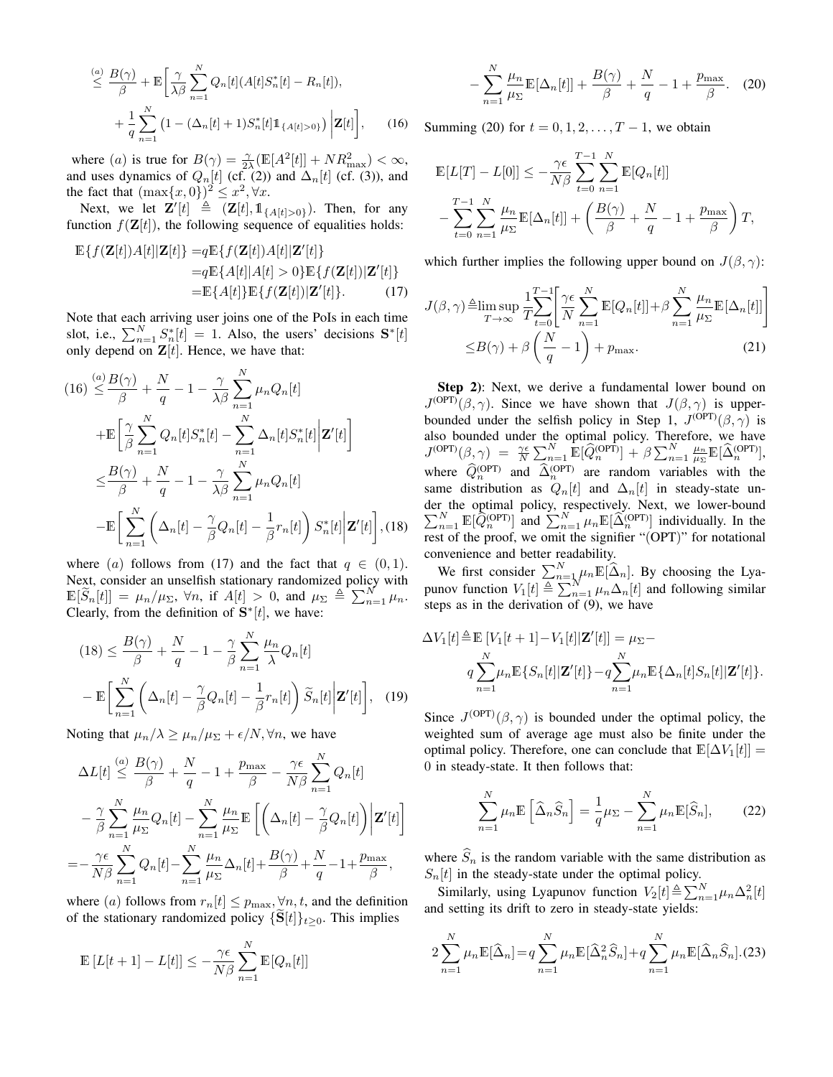$$
\stackrel{(a)}{\leq} \frac{B(\gamma)}{\beta} + \mathbb{E}\bigg[\frac{\gamma}{\lambda \beta} \sum_{n=1}^{N} Q_n[t] (A[t] S_n^*[t] - R_n[t]),
$$
  
+ 
$$
\frac{1}{q} \sum_{n=1}^{N} \left(1 - (\Delta_n[t] + 1) S_n^*[t] \mathbb{1}_{\{A[t] > 0\}}\right) \bigg| \mathbf{Z}[t]\bigg], \qquad (16)
$$

where (*a*) is true for  $B(\gamma) = \frac{\gamma}{2\lambda} (\mathbb{E}[A^2[t]] + NR_{\text{max}}^2) < \infty$ , and uses dynamics of  $Q_n[t]$  (cf. (2)) and  $\Delta_n[t]$  (cf. (3)), and the fact that  $(\max\{x, 0\})^2 \leq x^2, \forall x$ .

Next, we let  $\mathbf{Z}'[t] \triangleq (\mathbf{Z}[t], \mathbb{1}_{\{A[t]>0\}})$ . Then, for any function  $f(\mathbf{Z}[t])$ , the following sequence of equalities holds:

$$
\mathbb{E}\left\{f(\mathbf{Z}[t])A[t]|\mathbf{Z}[t]\right\} = q\mathbb{E}\left\{f(\mathbf{Z}[t])A[t]|\mathbf{Z}'[t]\right\}
$$
\n
$$
= q\mathbb{E}\left\{A[t]|A[t] > 0\right\}\mathbb{E}\left\{f(\mathbf{Z}[t])|\mathbf{Z}'[t]\right\}
$$
\n
$$
= \mathbb{E}\left\{A[t]\right\}\mathbb{E}\left\{f(\mathbf{Z}[t])|\mathbf{Z}'[t]\right\}.\tag{17}
$$

Note that each arriving user joins one of the PoIs in each time slot, i.e.,  $\sum_{n=1}^{N} S_n^*[t] = 1$ . Also, the users' decisions  $S^*[t]$ only depend on  $\mathbf{Z}[t]$ . Hence, we have that:

$$
(16) \stackrel{(a)}{\leq} \frac{B(\gamma)}{\beta} + \frac{N}{q} - 1 - \frac{\gamma}{\lambda \beta} \sum_{n=1}^{N} \mu_n Q_n[t]
$$
  
+ 
$$
\mathbb{E} \left[ \frac{\gamma}{\beta} \sum_{n=1}^{N} Q_n[t] S_n^*[t] - \sum_{n=1}^{N} \Delta_n[t] S_n^*[t] \Big| \mathbf{Z}'[t] \right]
$$
  

$$
\leq \frac{B(\gamma)}{\beta} + \frac{N}{q} - 1 - \frac{\gamma}{\lambda \beta} \sum_{n=1}^{N} \mu_n Q_n[t]
$$
  
- 
$$
\mathbb{E} \left[ \sum_{n=1}^{N} \left( \Delta_n[t] - \frac{\gamma}{\beta} Q_n[t] - \frac{1}{\beta} r_n[t] \right) S_n^*[t] \Big| \mathbf{Z}'[t] \right], (18)
$$

where (a) follows from (17) and the fact that  $q \in (0, 1)$ . Next, consider an unselfish stationary randomized policy with  $\mathbb{E}[\widetilde{S}_n[t]] = \mu_n/\mu_{\Sigma}, \forall n, \text{ if } A[t] > 0, \text{ and } \mu_{\Sigma} \triangleq \sum_{n=1}^N \mu_n.$ Clearly, from the definition of  $S^*[t]$ , we have:

$$
(18) \leq \frac{B(\gamma)}{\beta} + \frac{N}{q} - 1 - \frac{\gamma}{\beta} \sum_{n=1}^{N} \frac{\mu_n}{\lambda} Q_n[t]
$$

$$
- \mathbb{E} \bigg[ \sum_{n=1}^{N} \left( \Delta_n[t] - \frac{\gamma}{\beta} Q_n[t] - \frac{1}{\beta} r_n[t] \right) \widetilde{S}_n[t] \mathbf{Z}'[t] \bigg], \quad (19)
$$

Noting that  $\mu_n/\lambda \geq \mu_n/\mu_\Sigma + \epsilon/N$ , we have

$$
\Delta L[t] \stackrel{(a)}{\leq} \frac{B(\gamma)}{\beta} + \frac{N}{q} - 1 + \frac{p_{\text{max}}}{\beta} - \frac{\gamma \epsilon}{N\beta} \sum_{n=1}^{N} Q_n[t]
$$

$$
- \frac{\gamma}{\beta} \sum_{n=1}^{N} \frac{\mu_n}{\mu_{\Sigma}} Q_n[t] - \sum_{n=1}^{N} \frac{\mu_n}{\mu_{\Sigma}} \mathbb{E}\left[\left(\Delta_n[t] - \frac{\gamma}{\beta} Q_n[t]\right) \Big| \mathbf{Z}'[t]\right]
$$

$$
= - \frac{\gamma \epsilon}{N\beta} \sum_{n=1}^{N} Q_n[t] - \sum_{n=1}^{N} \frac{\mu_n}{\mu_{\Sigma}} \Delta_n[t] + \frac{B(\gamma)}{\beta} + \frac{N}{q} - 1 + \frac{p_{\text{max}}}{\beta},
$$

where (a) follows from  $r_n[t] \leq p_{\text{max}}, \forall n, t$ , and the definition of the stationary randomized policy  $\{S[t]\}_{t\geq 0}$ . This implies

$$
\mathbb{E}\left[L[t+1]-L[t]\right] \le -\frac{\gamma \epsilon}{N\beta} \sum_{n=1}^{N} \mathbb{E}[Q_n[t]]
$$

=−

$$
-\sum_{n=1}^{N} \frac{\mu_n}{\mu_{\Sigma}} \mathbb{E}[\Delta_n[t]] + \frac{B(\gamma)}{\beta} + \frac{N}{q} - 1 + \frac{p_{\max}}{\beta}.
$$
 (20)

Summing (20) for  $t = 0, 1, 2, ..., T - 1$ , we obtain

$$
\mathbb{E}[L[T] - L[0]] \le -\frac{\gamma \epsilon}{N\beta} \sum_{t=0}^{T-1} \sum_{n=1}^{N} \mathbb{E}[Q_n[t]]
$$
  

$$
- \sum_{t=0}^{T-1} \sum_{n=1}^{N} \frac{\mu_n}{\mu \Sigma} \mathbb{E}[\Delta_n[t]] + \left(\frac{B(\gamma)}{\beta} + \frac{N}{q} - 1 + \frac{p_{\text{max}}}{\beta}\right) T,
$$

which further implies the following upper bound on  $J(\beta, \gamma)$ :

$$
J(\beta, \gamma) \triangleq \limsup_{T \to \infty} \frac{1}{T} \sum_{t=0}^{T-1} \left[ \frac{\gamma \epsilon}{N} \sum_{n=1}^{N} \mathbb{E}[Q_n[t]] + \beta \sum_{n=1}^{N} \frac{\mu_n}{\mu_{\Sigma}} \mathbb{E}[\Delta_n[t]] \right]
$$
  

$$
\leq B(\gamma) + \beta \left( \frac{N}{q} - 1 \right) + p_{\text{max}}.
$$
 (21)

Step 2): Next, we derive a fundamental lower bound on  $J^{(\text{OPT})}(\beta, \gamma)$ . Since we have shown that  $J(\beta, \gamma)$  is upperbounded under the selfish policy in Step 1,  $J^{\text{(OPT)}}(\beta, \gamma)$  is also bounded under the optimal policy. Therefore, we have  $J^{\text{(OPT)}}(\beta, \gamma) = \frac{\gamma \epsilon}{N} \sum_{n=1}^{N} \mathbb{E}[\widehat{Q}_{n}^{\text{(OPT)}}] + \beta \sum_{n=1}^{N} \frac{\mu_{n}}{\mu_{\Sigma}} \mathbb{E}[\widehat{\Delta}_{n}^{\text{(OPT)}}],$ where  $\hat{Q}_n^{(OPT)}$  and  $\hat{\Delta}_n^{(OPT)}$  are random variables with the same distribution as  $Q_n[t]$  and  $\Delta_n[t]$  in steady-state under the optimal policy, respectively. Next, we lower-bound  $\sum_{n=1}^{N} \mathbb{E}[\hat{Q}_n^{\text{(OPT)}}]$  and  $\sum_{n=1}^{N} \mu_n \mathbb{E}[\hat{\Delta}_n^{\text{(OPT)}}]$  individually. In the rest of the proof, we omit the signifier "(OPT)" for notational convenience and better readability.

We first consider  $\sum_{n=1}^{N} \mu_n \mathbb{E}[\widehat{\Delta}_n]$ . By choosing the Lyapunov function  $V_1[t] \triangleq \sum_{n=1}^{N} \mu_n \Delta_n[t]$  and following similar steps as in the derivation of (9), we have

$$
\Delta V_1[t] \triangleq \mathbb{E}\left[V_1[t+1] - V_1[t]|\mathbf{Z}'[t]\right] = \mu_{\Sigma} -
$$
  
\n
$$
q \sum_{n=1}^{N} \mu_n \mathbb{E}\{S_n[t]|\mathbf{Z}'[t]\} - q \sum_{n=1}^{N} \mu_n \mathbb{E}\{\Delta_n[t]S_n[t]|\mathbf{Z}'[t]\}.
$$

Since  $J^{(OPT)}(\beta, \gamma)$  is bounded under the optimal policy, the weighted sum of average age must also be finite under the optimal policy. Therefore, one can conclude that  $\mathbb{E}[\Delta V_1[t]] =$ 0 in steady-state. It then follows that:

$$
\sum_{n=1}^{N} \mu_n \mathbb{E}\left[\widehat{\Delta}_n \widehat{S}_n\right] = \frac{1}{q} \mu_{\Sigma} - \sum_{n=1}^{N} \mu_n \mathbb{E}[\widehat{S}_n],\tag{22}
$$

where  $\widehat{S}_n$  is the random variable with the same distribution as  $S_n[t]$  in the steady-state under the optimal policy.

Similarly, using Lyapunov function  $V_2[t] \triangleq \sum_{n=1}^{N} \mu_n \Delta_n^2[t]$ and setting its drift to zero in steady-state yields:

$$
2\sum_{n=1}^{N} \mu_n \mathbb{E}[\widehat{\Delta}_n] = q \sum_{n=1}^{N} \mu_n \mathbb{E}[\widehat{\Delta}_n^2 \widehat{S}_n] + q \sum_{n=1}^{N} \mu_n \mathbb{E}[\widehat{\Delta}_n \widehat{S}_n]. (23)
$$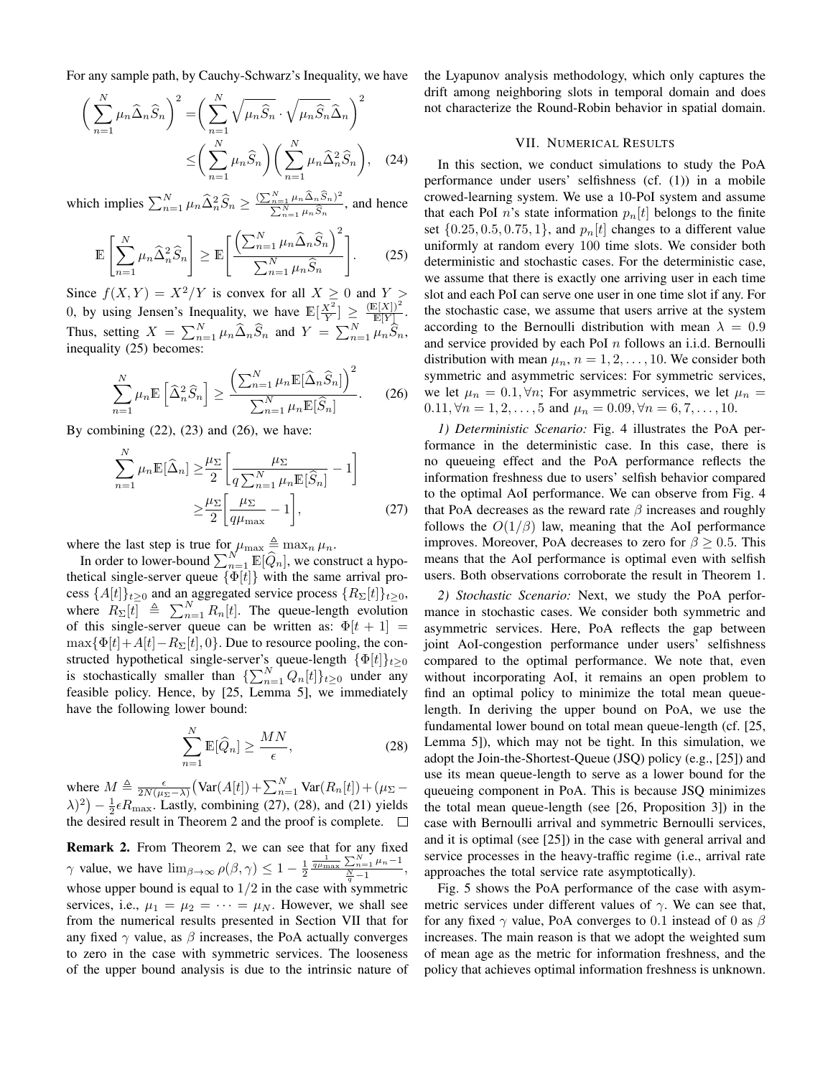For any sample path, by Cauchy-Schwarz's Inequality, we have

$$
\left(\sum_{n=1}^{N} \mu_n \widehat{\Delta}_n \widehat{S}_n\right)^2 = \left(\sum_{n=1}^{N} \sqrt{\mu_n \widehat{S}_n} \cdot \sqrt{\mu_n \widehat{S}_n} \widehat{\Delta}_n\right)^2
$$

$$
\leq \left(\sum_{n=1}^{N} \mu_n \widehat{S}_n\right) \left(\sum_{n=1}^{N} \mu_n \widehat{\Delta}_n^2 \widehat{S}_n\right), \quad (24)
$$

which implies  $\sum_{n=1}^{N} \mu_n \widehat{\Delta}_n^2 \widehat{S}_n \ge \frac{(\sum_{n=1}^{N} \mu_n \widehat{\Delta}_n \widehat{S}_n)^2}{\sum_{n=1}^{N} \mu_n \widehat{S}_n}$  $\frac{n=1}{\sum_{n=1}^{N} \mu_n \widehat{S}_n}$ , and hence

$$
\mathbb{E}\left[\sum_{n=1}^{N} \mu_n \widehat{\Delta}_n^2 \widehat{S}_n\right] \ge \mathbb{E}\left[\frac{\left(\sum_{n=1}^{N} \mu_n \widehat{\Delta}_n \widehat{S}_n\right)^2}{\sum_{n=1}^{N} \mu_n \widehat{S}_n}\right].
$$
 (25)

Since  $f(X, Y) = X^2/Y$  is convex for all  $X > 0$  and  $Y > 0$ 0, by using Jensen's Inequality, we have  $\mathbb{E}[\frac{X^2}{Y}] \geq \frac{(\mathbb{E}[X])^2}{\mathbb{E}[Y]}$  $\frac{\mathbb{E}[\mathbf{A}])}{\mathbb{E}[Y]}$  . Thus, setting  $X = \sum_{n=1}^{N} \mu_n \widehat{\Delta}_n \widehat{S}_n$  and  $Y = \sum_{n=1}^{N} \mu_n \widehat{S}_n$ , inequality (25) becomes:

$$
\sum_{n=1}^{N} \mu_n \mathbb{E}\left[\widehat{\Delta}_n^2 \widehat{S}_n\right] \ge \frac{\left(\sum_{n=1}^{N} \mu_n \mathbb{E}[\widehat{\Delta}_n \widehat{S}_n]\right)^2}{\sum_{n=1}^{N} \mu_n \mathbb{E}[\widehat{S}_n]}.
$$
 (26)

By combining  $(22)$ ,  $(23)$  and  $(26)$ , we have:

$$
\sum_{n=1}^{N} \mu_n \mathbb{E}[\widehat{\Delta}_n] \ge \frac{\mu_{\Sigma}}{2} \left[ \frac{\mu_{\Sigma}}{q \sum_{n=1}^{N} \mu_n \mathbb{E}[\widehat{S}_n]} - 1 \right]
$$

$$
\ge \frac{\mu_{\Sigma}}{2} \left[ \frac{\mu_{\Sigma}}{q \mu_{\text{max}}} - 1 \right],
$$
(27)

where the last step is true for  $\mu_{\max} \triangleq \max_n \mu_n$ .

In order to lower-bound  $\sum_{n=1}^{N} \mathbb{E}[\widehat{Q}_n]$ , we construct a hypothetical single-server queue  $\{\Phi[t]\}$  with the same arrival process  $\{A[t]\}_{t\geq0}$  and an aggregated service process  $\{R_{\Sigma}[t]\}_{t\geq0}$ , where  $R_{\Sigma}[t] \triangleq \sum_{n=1}^{N} R_n[t]$ . The queue-length evolution of this single-server queue can be written as:  $\Phi[t+1]$  =  $\max{\{\Phi[t]+A[t]-R_{\Sigma}[t],0\}}$ . Due to resource pooling, the constructed hypothetical single-server's queue-length  $\{\Phi[t]\}_{t\geq 0}$ is stochastically smaller than  $\{\sum_{n=1}^{N} Q_n[t]\}_{t\geq 0}$  under any feasible policy. Hence, by [25, Lemma 5], we immediately have the following lower bound:

$$
\sum_{n=1}^{N} \mathbb{E}[\widehat{Q}_n] \ge \frac{MN}{\epsilon},\tag{28}
$$

where  $M \triangleq \frac{\epsilon}{2N(\mu_{\Sigma}-\lambda)} \left( \text{Var}(A[t]) + \sum_{n=1}^{N} \text{Var}(R_n[t]) + (\mu_{\Sigma} - \sum_{n=1}^{N} \text{Var}(R_n[t]) \right)$  $(\lambda)^2$  –  $\frac{1}{2} \epsilon R_{\text{max}}$ . Lastly, combining (27), (28), and (21) yields the desired result in Theorem 2 and the proof is complete.  $\Box$ 

**Remark 2.** From Theorem 2, we can see that for any fixed  $\gamma$  value, we have  $\lim_{\beta \to \infty} \rho(\beta, \gamma) \leq 1 - \frac{1}{2}$  $\frac{1}{q\mu_{\max}} \frac{\sum_{n=1}^{N} \mu_n - 1}{\frac{N}{q} - 1},$ whose upper bound is equal to  $1/2$  in the case with symmetric services, i.e.,  $\mu_1 = \mu_2 = \cdots = \mu_N$ . However, we shall see from the numerical results presented in Section VII that for any fixed  $\gamma$  value, as  $\beta$  increases, the PoA actually converges to zero in the case with symmetric services. The looseness of the upper bound analysis is due to the intrinsic nature of the Lyapunov analysis methodology, which only captures the drift among neighboring slots in temporal domain and does not characterize the Round-Robin behavior in spatial domain.

## VII. NUMERICAL RESULTS

In this section, we conduct simulations to study the PoA performance under users' selfishness (cf. (1)) in a mobile crowed-learning system. We use a 10-PoI system and assume that each PoI n's state information  $p_n[t]$  belongs to the finite set  $\{0.25, 0.5, 0.75, 1\}$ , and  $p_n[t]$  changes to a different value uniformly at random every 100 time slots. We consider both deterministic and stochastic cases. For the deterministic case, we assume that there is exactly one arriving user in each time slot and each PoI can serve one user in one time slot if any. For the stochastic case, we assume that users arrive at the system according to the Bernoulli distribution with mean  $\lambda = 0.9$ and service provided by each PoI  $n$  follows an i.i.d. Bernoulli distribution with mean  $\mu_n$ ,  $n = 1, 2, \dots, 10$ . We consider both symmetric and asymmetric services: For symmetric services, we let  $\mu_n = 0.1, \forall n$ ; For asymmetric services, we let  $\mu_n =$ 0.11,  $\forall n = 1, 2, ..., 5$  and  $\mu_n = 0.09, \forall n = 6, 7, ..., 10$ .

*1) Deterministic Scenario:* Fig. 4 illustrates the PoA performance in the deterministic case. In this case, there is no queueing effect and the PoA performance reflects the information freshness due to users' selfish behavior compared to the optimal AoI performance. We can observe from Fig. 4 that PoA decreases as the reward rate  $\beta$  increases and roughly follows the  $O(1/\beta)$  law, meaning that the AoI performance improves. Moreover, PoA decreases to zero for  $\beta \geq 0.5$ . This means that the AoI performance is optimal even with selfish users. Both observations corroborate the result in Theorem 1.

*2) Stochastic Scenario:* Next, we study the PoA performance in stochastic cases. We consider both symmetric and asymmetric services. Here, PoA reflects the gap between joint AoI-congestion performance under users' selfishness compared to the optimal performance. We note that, even without incorporating AoI, it remains an open problem to find an optimal policy to minimize the total mean queuelength. In deriving the upper bound on PoA, we use the fundamental lower bound on total mean queue-length (cf. [25, Lemma 5]), which may not be tight. In this simulation, we adopt the Join-the-Shortest-Queue (JSQ) policy (e.g., [25]) and use its mean queue-length to serve as a lower bound for the queueing component in PoA. This is because JSQ minimizes the total mean queue-length (see [26, Proposition 3]) in the case with Bernoulli arrival and symmetric Bernoulli services, and it is optimal (see [25]) in the case with general arrival and service processes in the heavy-traffic regime (i.e., arrival rate approaches the total service rate asymptotically).

Fig. 5 shows the PoA performance of the case with asymmetric services under different values of  $\gamma$ . We can see that, for any fixed  $\gamma$  value, PoA converges to 0.1 instead of 0 as  $\beta$ increases. The main reason is that we adopt the weighted sum of mean age as the metric for information freshness, and the policy that achieves optimal information freshness is unknown.